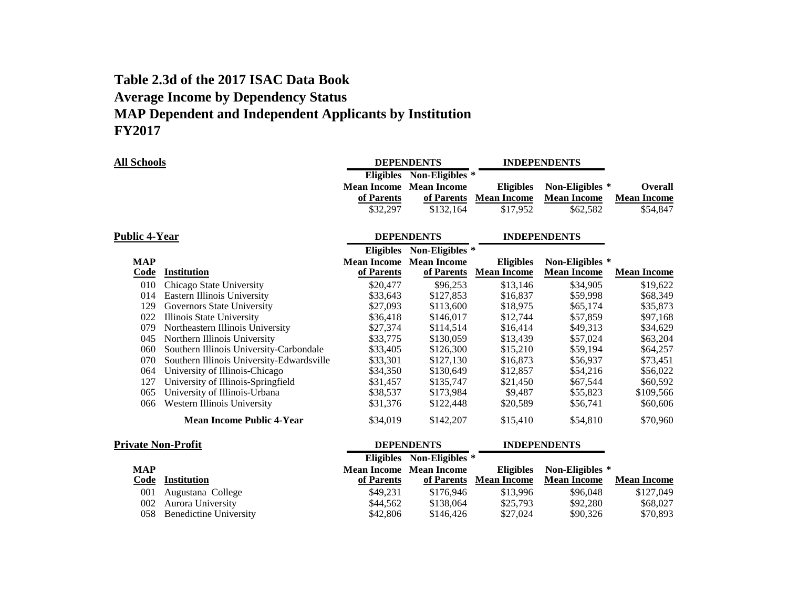## **Table 2.3d of the 2017 ISAC Data Book Average Income by Dependency Status MAP Dependent and Independent Applicants by Institution FY2017**

| <b>All Schools</b>        |                                           |                   | <b>DEPENDENTS</b>                    | <b>INDEPENDENTS</b> |                     |                    |
|---------------------------|-------------------------------------------|-------------------|--------------------------------------|---------------------|---------------------|--------------------|
|                           |                                           |                   | Eligibles Non-Eligibles <sup>*</sup> |                     |                     |                    |
|                           |                                           |                   | <b>Mean Income</b> Mean Income       | <b>Eligibles</b>    | Non-Eligibles *     | <b>Overall</b>     |
|                           |                                           | of Parents        | of Parents                           | <b>Mean Income</b>  | <b>Mean Income</b>  | <b>Mean Income</b> |
|                           |                                           | \$32,297          | \$132,164                            | \$17,952            | \$62,582            | \$54,847           |
| <b>Public 4-Year</b>      |                                           |                   | <b>DEPENDENTS</b>                    |                     | <b>INDEPENDENTS</b> |                    |
|                           |                                           |                   | Eligibles Non-Eligibles *            |                     |                     |                    |
| <b>MAP</b>                |                                           |                   | <b>Mean Income Mean Income</b>       | <b>Eligibles</b>    | Non-Eligibles *     |                    |
| Code                      | <b>Institution</b>                        | of Parents        | of Parents                           | <b>Mean Income</b>  | <b>Mean Income</b>  | <b>Mean Income</b> |
| 010                       | Chicago State University                  | \$20,477          | \$96,253                             | \$13,146            | \$34,905            | \$19,622           |
| 014                       | Eastern Illinois University               | \$33,643          | \$127,853                            | \$16,837            | \$59,998            | \$68,349           |
| 129                       | Governors State University                | \$27,093          | \$113,600                            | \$18,975            | \$65,174            | \$35,873           |
| 022                       | Illinois State University                 | \$36,418          | \$146,017                            | \$12,744            | \$57,859            | \$97,168           |
| 079                       | Northeastern Illinois University          | \$27,374          | \$114,514                            | \$16,414            | \$49,313            | \$34,629           |
| 045                       | Northern Illinois University              | \$33,775          | \$130,059                            | \$13,439            | \$57,024            | \$63,204           |
| 060                       | Southern Illinois University-Carbondale   | \$33,405          | \$126,300                            | \$15,210            | \$59,194            | \$64,257           |
| 070                       | Southern Illinois University-Edwardsville | \$33,301          | \$127,130                            | \$16,873            | \$56,937            | \$73,451           |
| 064                       | University of Illinois-Chicago            | \$34,350          | \$130,649                            | \$12,857            | \$54,216            | \$56,022           |
| 127                       | University of Illinois-Springfield        | \$31,457          | \$135,747                            | \$21,450            | \$67,544            | \$60,592           |
| 065                       | University of Illinois-Urbana             | \$38,537          | \$173,984                            | \$9,487             | \$55,823            | \$109,566          |
| 066                       | Western Illinois University               | \$31,376          | \$122,448                            | \$20,589            | \$56,741            | \$60,606           |
|                           | <b>Mean Income Public 4-Year</b>          | \$34,019          | \$142,207                            | \$15,410            | \$54,810            | \$70,960           |
| <b>Private Non-Profit</b> |                                           | <b>DEPENDENTS</b> |                                      | <b>INDEPENDENTS</b> |                     |                    |
|                           |                                           | <b>Eligibles</b>  | Non-Eligibles *                      |                     |                     |                    |
| <b>MAP</b>                |                                           |                   | <b>Mean Income</b> Mean Income       | <b>Eligibles</b>    | Non-Eligibles *     |                    |
| Code                      | <b>Institution</b>                        | of Parents        | of Parents                           | <b>Mean Income</b>  | <b>Mean Income</b>  | <b>Mean Income</b> |

| out msutuum                | VI I al cius |           | <u>ul latellis - ivieali muulite</u> | - меан пісоше | лисан писоше |
|----------------------------|--------------|-----------|--------------------------------------|---------------|--------------|
| 001 Augustana College      | \$49.231     | \$176.946 | \$13.996                             | \$96,048      | \$127,049    |
| 002 Aurora University      | \$44,562     | \$138,064 | \$25,793                             | \$92,280      | \$68,027     |
| 058 Benedictine University | \$42,806     | \$146.426 | \$27,024                             | \$90,326      | \$70,893     |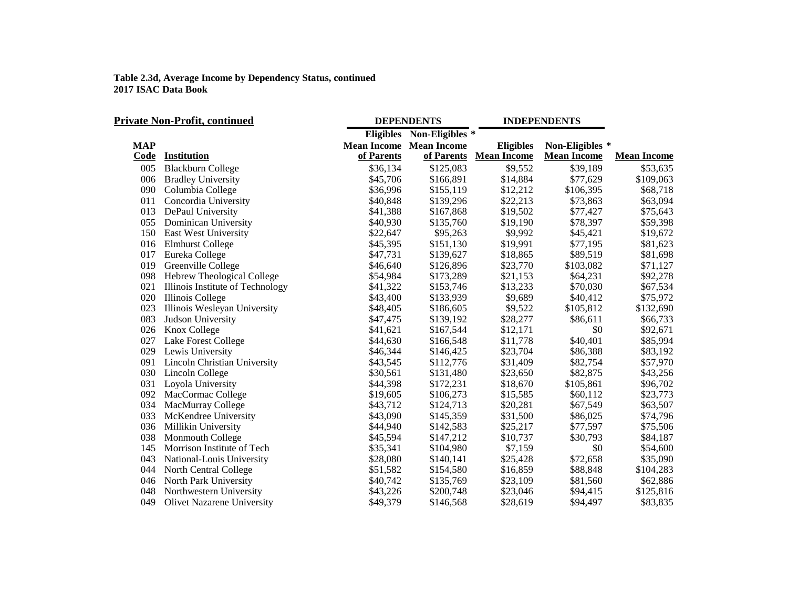| <b>Private Non-Profit, continued</b> |                                   |            | <b>DEPENDENTS</b>              | <b>INDEPENDENTS</b> |                    |                    |
|--------------------------------------|-----------------------------------|------------|--------------------------------|---------------------|--------------------|--------------------|
|                                      |                                   |            | Eligibles Non-Eligibles *      |                     |                    |                    |
| <b>MAP</b>                           |                                   |            | <b>Mean Income Mean Income</b> | <b>Eligibles</b>    | Non-Eligibles *    |                    |
| Code                                 | Institution                       | of Parents | of Parents                     | <b>Mean Income</b>  | <b>Mean Income</b> | <b>Mean Income</b> |
| 005                                  | <b>Blackburn College</b>          | \$36,134   | \$125,083                      | \$9,552             | \$39,189           | \$53,635           |
| 006                                  | <b>Bradley University</b>         | \$45,706   | \$166,891                      | \$14,884            | \$77,629           | \$109,063          |
| 090                                  | Columbia College                  | \$36,996   | \$155,119                      | \$12,212            | \$106,395          | \$68,718           |
| 011                                  | Concordia University              | \$40,848   | \$139,296                      | \$22,213            | \$73,863           | \$63,094           |
| 013                                  | DePaul University                 | \$41,388   | \$167,868                      | \$19,502            | \$77,427           | \$75,643           |
| 055                                  | Dominican University              | \$40,930   | \$135,760                      | \$19,190            | \$78,397           | \$59,398           |
| 150                                  | East West University              | \$22,647   | \$95,263                       | \$9,992             | \$45,421           | \$19,672           |
| 016                                  | <b>Elmhurst College</b>           | \$45,395   | \$151,130                      | \$19,991            | \$77,195           | \$81,623           |
| 017                                  | Eureka College                    | \$47,731   | \$139,627                      | \$18,865            | \$89,519           | \$81,698           |
| 019                                  | Greenville College                | \$46,640   | \$126,896                      | \$23,770            | \$103,082          | \$71,127           |
| 098                                  | Hebrew Theological College        | \$54,984   | \$173,289                      | \$21,153            | \$64,231           | \$92,278           |
| 021                                  | Illinois Institute of Technology  | \$41,322   | \$153,746                      | \$13,233            | \$70,030           | \$67,534           |
| 020                                  | Illinois College                  | \$43,400   | \$133,939                      | \$9,689             | \$40,412           | \$75,972           |
| 023                                  | Illinois Wesleyan University      | \$48,405   | \$186,605                      | \$9,522             | \$105,812          | \$132,690          |
| 083                                  | Judson University                 | \$47,475   | \$139,192                      | \$28,277            | \$86,611           | \$66,733           |
| 026                                  | Knox College                      | \$41,621   | \$167,544                      | \$12,171            | \$0                | \$92,671           |
| 027                                  | Lake Forest College               | \$44,630   | \$166,548                      | \$11,778            | \$40,401           | \$85,994           |
| 029                                  | Lewis University                  | \$46,344   | \$146,425                      | \$23,704            | \$86,388           | \$83,192           |
| 091                                  | Lincoln Christian University      | \$43,545   | \$112,776                      | \$31,409            | \$82,754           | \$57,970           |
| 030                                  | Lincoln College                   | \$30,561   | \$131,480                      | \$23,650            | \$82,875           | \$43,256           |
| 031                                  | Loyola University                 | \$44,398   | \$172,231                      | \$18,670            | \$105,861          | \$96,702           |
| 092                                  | MacCormac College                 | \$19,605   | \$106,273                      | \$15,585            | \$60,112           | \$23,773           |
| 034                                  | MacMurray College                 | \$43,712   | \$124,713                      | \$20,281            | \$67,549           | \$63,507           |
| 033                                  | McKendree University              | \$43,090   | \$145,359                      | \$31,500            | \$86,025           | \$74,796           |
| 036                                  | Millikin University               | \$44,940   | \$142,583                      | \$25,217            | \$77,597           | \$75,506           |
| 038                                  | Monmouth College                  | \$45,594   | \$147,212                      | \$10,737            | \$30,793           | \$84,187           |
| 145                                  | Morrison Institute of Tech        | \$35,341   | \$104,980                      | \$7,159             | \$0                | \$54,600           |
| 043                                  | National-Louis University         | \$28,080   | \$140,141                      | \$25,428            | \$72,658           | \$35,090           |
| 044                                  | North Central College             | \$51,582   | \$154,580                      | \$16,859            | \$88,848           | \$104,283          |
| 046                                  | North Park University             | \$40,742   | \$135,769                      | \$23,109            | \$81,560           | \$62,886           |
| 048                                  | Northwestern University           | \$43,226   | \$200,748                      | \$23,046            | \$94,415           | \$125,816          |
| 049                                  | <b>Olivet Nazarene University</b> | \$49,379   | \$146,568                      | \$28,619            | \$94,497           | \$83,835           |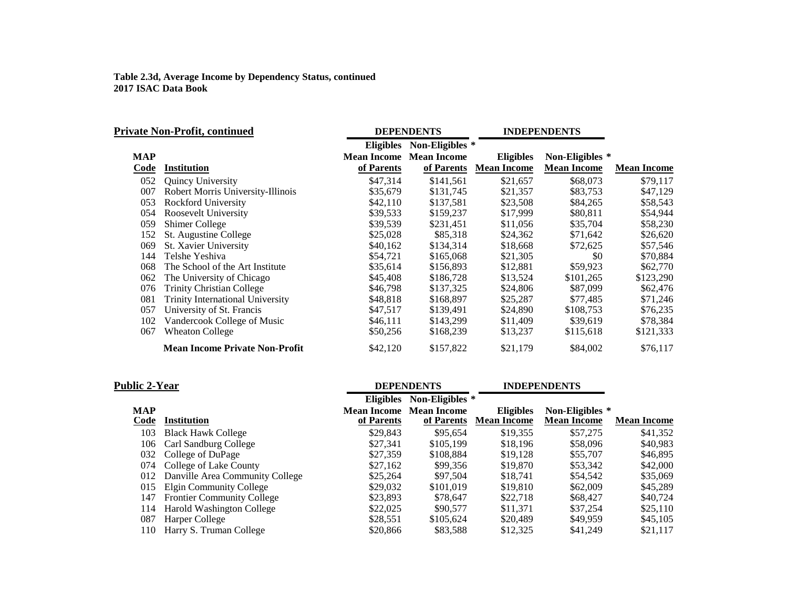|            | Private Non-Profit, continued           |                  | <b>DEPENDENTS</b>              |                    | <b>INDEPENDENTS</b> |                    |
|------------|-----------------------------------------|------------------|--------------------------------|--------------------|---------------------|--------------------|
|            |                                         | <b>Eligibles</b> | Non-Eligibles *                |                    |                     |                    |
| <b>MAP</b> |                                         |                  | <b>Mean Income Mean Income</b> | <b>Eligibles</b>   | Non-Eligibles *     |                    |
| Code       | <b>Institution</b>                      | of Parents       | of Parents                     | <b>Mean Income</b> | <b>Mean Income</b>  | <b>Mean Income</b> |
| 052        | <b>Quincy University</b>                | \$47,314         | \$141,561                      | \$21,657           | \$68,073            | \$79,117           |
| 007        | Robert Morris University-Illinois       | \$35,679         | \$131,745                      | \$21,357           | \$83,753            | \$47,129           |
| 053        | Rockford University                     | \$42,110         | \$137,581                      | \$23,508           | \$84,265            | \$58,543           |
| 054        | Roosevelt University                    | \$39,533         | \$159,237                      | \$17,999           | \$80,811            | \$54,944           |
| 059        | Shimer College                          | \$39,539         | \$231,451                      | \$11,056           | \$35,704            | \$58,230           |
| 152        | St. Augustine College                   | \$25,028         | \$85,318                       | \$24,362           | \$71,642            | \$26,620           |
| 069        | St. Xavier University                   | \$40,162         | \$134,314                      | \$18,668           | \$72,625            | \$57,546           |
| 144        | Telshe Yeshiva                          | \$54,721         | \$165,068                      | \$21,305           | \$0                 | \$70,884           |
| 068        | The School of the Art Institute         | \$35,614         | \$156,893                      | \$12,881           | \$59,923            | \$62,770           |
| 062        | The University of Chicago               | \$45,408         | \$186,728                      | \$13,524           | \$101,265           | \$123,290          |
| 076        | <b>Trinity Christian College</b>        | \$46,798         | \$137,325                      | \$24,806           | \$87,099            | \$62,476           |
| 081        | <b>Trinity International University</b> | \$48,818         | \$168,897                      | \$25,287           | \$77,485            | \$71,246           |
| 057        | University of St. Francis               | \$47,517         | \$139,491                      | \$24,890           | \$108,753           | \$76,235           |
| 102        | Vandercook College of Music             | \$46,111         | \$143,299                      | \$11,409           | \$39,619            | \$78,384           |
| 067        | Wheaton College                         | \$50,256         | \$168,239                      | \$13,237           | \$115,618           | \$121,333          |
|            | <b>Mean Income Private Non-Profit</b>   | \$42,120         | \$157,822                      | \$21,179           | \$84,002            | \$76,117           |

| <b>Public 2-Year</b> |                                   |                  | <b>DEPENDENTS</b>                            |                                        | <b>INDEPENDENTS</b>                   |                    |
|----------------------|-----------------------------------|------------------|----------------------------------------------|----------------------------------------|---------------------------------------|--------------------|
|                      |                                   | <b>Eligibles</b> | Non-Eligibles *                              |                                        |                                       |                    |
| <b>MAP</b><br>Code   | Institution                       | of Parents       | <b>Mean Income</b> Mean Income<br>of Parents | <b>Eligibles</b><br><b>Mean Income</b> | Non-Eligibles *<br><b>Mean Income</b> | <b>Mean Income</b> |
| 103                  | <b>Black Hawk College</b>         | \$29,843         | \$95.654                                     | \$19,355                               | \$57,275                              | \$41,352           |
| 106                  | Carl Sandburg College             | \$27.341         | \$105,199                                    | \$18,196                               | \$58,096                              | \$40.983           |
| 032                  | College of DuPage                 | \$27,359         | \$108.884                                    | \$19.128                               | \$55,707                              | \$46,895           |
| 074                  | College of Lake County            | \$27,162         | \$99.356                                     | \$19,870                               | \$53,342                              | \$42,000           |
| 012                  | Danville Area Community College   | \$25,264         | \$97.504                                     | \$18,741                               | \$54,542                              | \$35,069           |
| 015                  | <b>Elgin Community College</b>    | \$29,032         | \$101,019                                    | \$19,810                               | \$62,009                              | \$45,289           |
| 147                  | <b>Frontier Community College</b> | \$23,893         | \$78.647                                     | \$22,718                               | \$68,427                              | \$40,724           |
| 114                  | <b>Harold Washington College</b>  | \$22,025         | \$90,577                                     | \$11.371                               | \$37,254                              | \$25,110           |
| 087                  | Harper College                    | \$28,551         | \$105,624                                    | \$20,489                               | \$49.959                              | \$45,105           |
| 110                  | Harry S. Truman College           | \$20,866         | \$83,588                                     | \$12,325                               | \$41,249                              | \$21,117           |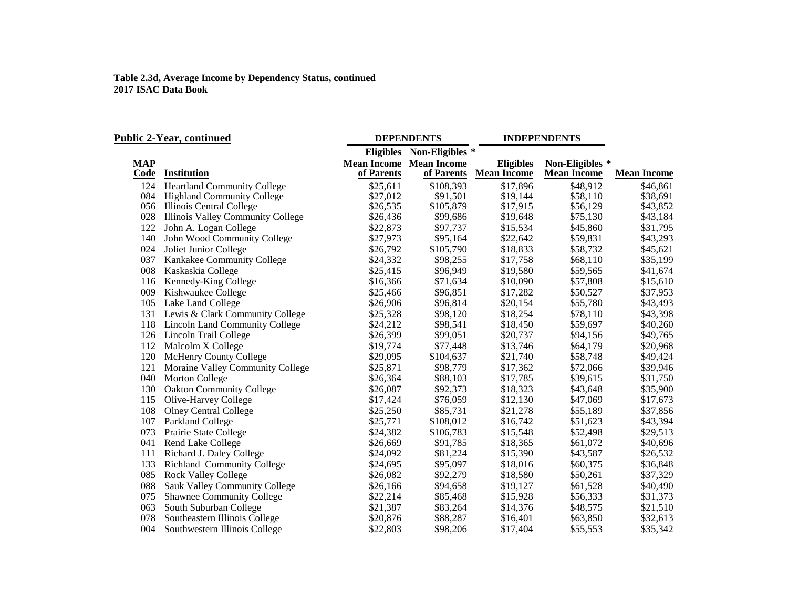| <b>Public 2-Year, continued</b> |                                    |            | <b>DEPENDENTS</b>              | <b>INDEPENDENTS</b> |                    |                    |
|---------------------------------|------------------------------------|------------|--------------------------------|---------------------|--------------------|--------------------|
|                                 |                                    |            | Eligibles Non-Eligibles *      |                     |                    |                    |
| <b>MAP</b>                      |                                    |            | <b>Mean Income Mean Income</b> | <b>Eligibles</b>    | Non-Eligibles *    |                    |
| Code                            | <b>Institution</b>                 | of Parents | of Parents                     | <b>Mean Income</b>  | <b>Mean Income</b> | <b>Mean Income</b> |
| 124                             | <b>Heartland Community College</b> | \$25,611   | \$108,393                      | \$17,896            | \$48,912           | \$46,861           |
| 084                             | <b>Highland Community College</b>  | \$27,012   | \$91,501                       | \$19,144            | \$58,110           | \$38,691           |
|                                 | 056 Illinois Central College       | \$26,535   | \$105,879                      | \$17,915            | \$56,129           | \$43,852           |
| 028                             | Illinois Valley Community College  | \$26,436   | \$99,686                       | \$19,648            | \$75,130           | \$43,184           |
| 122                             | John A. Logan College              | \$22,873   | \$97,737                       | \$15,534            | \$45,860           | \$31,795           |
| 140                             | John Wood Community College        | \$27,973   | \$95,164                       | \$22,642            | \$59,831           | \$43,293           |
| 024                             | Joliet Junior College              | \$26,792   | \$105,790                      | \$18,833            | \$58,732           | \$45,621           |
| 037                             | Kankakee Community College         | \$24,332   | \$98,255                       | \$17,758            | \$68,110           | \$35,199           |
| 008                             | Kaskaskia College                  | \$25,415   | \$96,949                       | \$19,580            | \$59,565           | \$41,674           |
| 116                             | Kennedy-King College               | \$16,366   | \$71,634                       | \$10,090            | \$57,808           | \$15,610           |
| 009                             | Kishwaukee College                 | \$25,466   | \$96,851                       | \$17,282            | \$50,527           | \$37,953           |
| 105                             | Lake Land College                  | \$26,906   | \$96,814                       | \$20,154            | \$55,780           | \$43,493           |
| 131                             | Lewis & Clark Community College    | \$25,328   | \$98,120                       | \$18,254            | \$78,110           | \$43,398           |
| 118                             | Lincoln Land Community College     | \$24,212   | \$98,541                       | \$18,450            | \$59,697           | \$40,260           |
|                                 | 126 Lincoln Trail College          | \$26,399   | \$99,051                       | \$20,737            | \$94,156           | \$49,765           |
| 112                             | Malcolm X College                  | \$19,774   | \$77,448                       | \$13,746            | \$64,179           | \$20,968           |
| 120                             | <b>McHenry County College</b>      | \$29,095   | \$104,637                      | \$21,740            | \$58,748           | \$49,424           |
| 121                             | Moraine Valley Community College   | \$25,871   | \$98,779                       | \$17,362            | \$72,066           | \$39,946           |
| 040                             | <b>Morton College</b>              | \$26,364   | \$88,103                       | \$17,785            | \$39,615           | \$31,750           |
| 130                             | <b>Oakton Community College</b>    | \$26,087   | \$92,373                       | \$18,323            | \$43,648           | \$35,900           |
| 115                             | Olive-Harvey College               | \$17,424   | \$76,059                       | \$12,130            | \$47,069           | \$17,673           |
| 108                             | <b>Olney Central College</b>       | \$25,250   | \$85,731                       | \$21,278            | \$55,189           | \$37,856           |
| 107                             | Parkland College                   | \$25,771   | \$108,012                      | \$16,742            | \$51,623           | \$43,394           |
| 073                             | Prairie State College              | \$24,382   | \$106,783                      | \$15,548            | \$52,498           | \$29,513           |
| 041                             | Rend Lake College                  | \$26,669   | \$91,785                       | \$18,365            | \$61,072           | \$40,696           |
| 111                             | Richard J. Daley College           | \$24,092   | \$81,224                       | \$15,390            | \$43,587           | \$26,532           |
| 133                             | Richland Community College         | \$24,695   | \$95,097                       | \$18,016            | \$60,375           | \$36,848           |
| 085                             | <b>Rock Valley College</b>         | \$26,082   | \$92,279                       | \$18,580            | \$50,261           | \$37,329           |
| 088                             | Sauk Valley Community College      | \$26,166   | \$94,658                       | \$19,127            | \$61,528           | \$40,490           |
| 075                             | <b>Shawnee Community College</b>   | \$22,214   | \$85,468                       | \$15,928            | \$56,333           | \$31,373           |
| 063                             | South Suburban College             | \$21,387   | \$83,264                       | \$14,376            | \$48,575           | \$21,510           |
| 078                             | Southeastern Illinois College      | \$20,876   | \$88,287                       | \$16,401            | \$63,850           | \$32,613           |
| 004                             | Southwestern Illinois College      | \$22,803   | \$98,206                       | \$17,404            | \$55,553           | \$35,342           |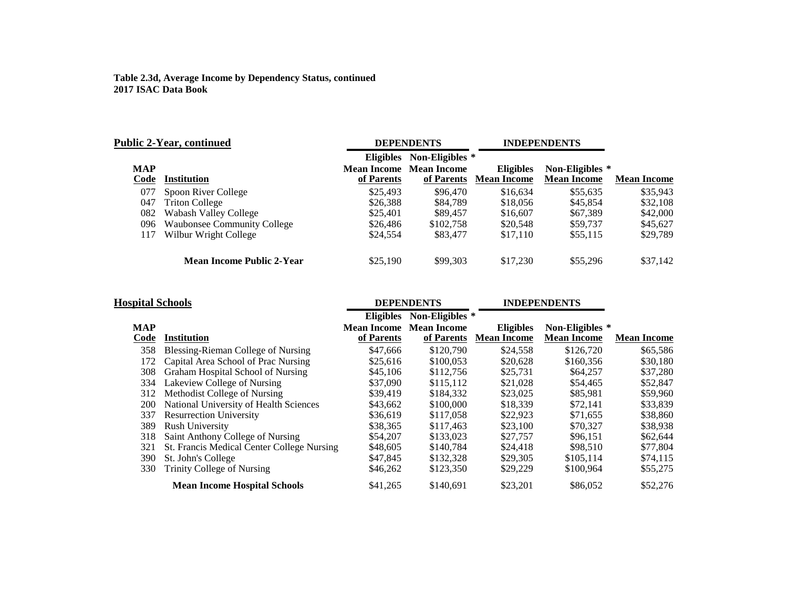| <b>Public 2-Year, continued</b> |                                    |                  | <b>DEPENDENTS</b>                            | <b>INDEPENDENTS</b>                    |                                       |                    |
|---------------------------------|------------------------------------|------------------|----------------------------------------------|----------------------------------------|---------------------------------------|--------------------|
|                                 |                                    | <b>Eligibles</b> | Non-Eligibles *                              |                                        |                                       |                    |
| <b>MAP</b><br>Code              | <b>Institution</b>                 | of Parents       | <b>Mean Income</b> Mean Income<br>of Parents | <b>Eligibles</b><br><b>Mean Income</b> | Non-Eligibles *<br><b>Mean Income</b> | <b>Mean Income</b> |
| 077                             | Spoon River College                | \$25,493         | \$96,470                                     | \$16,634                               | \$55.635                              | \$35,943           |
| 047                             | <b>Triton College</b>              | \$26,388         | \$84,789                                     | \$18,056                               | \$45,854                              | \$32,108           |
| 082                             | <b>Wabash Valley College</b>       | \$25,401         | \$89,457                                     | \$16,607                               | \$67,389                              | \$42,000           |
| 096                             | <b>Waubonsee Community College</b> | \$26,486         | \$102,758                                    | \$20,548                               | \$59,737                              | \$45,627           |
| 117                             | Wilbur Wright College              | \$24,554         | \$83,477                                     | \$17,110                               | \$55,115                              | \$29,789           |
|                                 | <b>Mean Income Public 2-Year</b>   | \$25,190         | \$99,303                                     | \$17,230                               | \$55,296                              | \$37,142           |

| <b>Hospital Schools</b> |                                            |                                  | <b>DEPENDENTS</b>                |                                        | <b>INDEPENDENTS</b>                   |                    |
|-------------------------|--------------------------------------------|----------------------------------|----------------------------------|----------------------------------------|---------------------------------------|--------------------|
|                         |                                            | <b>Eligibles</b>                 | Non-Eligibles *                  |                                        |                                       |                    |
| <b>MAP</b><br>Code      | Institution                                | <b>Mean Income</b><br>of Parents | <b>Mean Income</b><br>of Parents | <b>Eligibles</b><br><b>Mean Income</b> | Non-Eligibles *<br><b>Mean Income</b> | <b>Mean Income</b> |
| 358                     | Blessing-Rieman College of Nursing         | \$47,666                         | \$120,790                        | \$24,558                               | \$126,720                             | \$65,586           |
| 172                     | Capital Area School of Prac Nursing        | \$25.616                         | \$100,053                        | \$20,628                               | \$160,356                             | \$30,180           |
| 308                     | Graham Hospital School of Nursing          | \$45,106                         | \$112,756                        | \$25,731                               | \$64,257                              | \$37,280           |
| 334                     | Lakeview College of Nursing                | \$37,090                         | \$115,112                        | \$21,028                               | \$54,465                              | \$52,847           |
| 312                     | Methodist College of Nursing               | \$39,419                         | \$184,332                        | \$23,025                               | \$85,981                              | \$59,960           |
| 200                     | National University of Health Sciences     | \$43,662                         | \$100,000                        | \$18,339                               | \$72,141                              | \$33,839           |
| 337                     | <b>Resurrection University</b>             | \$36,619                         | \$117,058                        | \$22,923                               | \$71,655                              | \$38,860           |
| 389                     | <b>Rush University</b>                     | \$38,365                         | \$117,463                        | \$23,100                               | \$70,327                              | \$38,938           |
| 318                     | Saint Anthony College of Nursing           | \$54,207                         | \$133,023                        | \$27,757                               | \$96,151                              | \$62,644           |
| 321                     | St. Francis Medical Center College Nursing | \$48,605                         | \$140.784                        | \$24,418                               | \$98,510                              | \$77,804           |
| 390                     | St. John's College                         | \$47,845                         | \$132,328                        | \$29,305                               | \$105.114                             | \$74,115           |
| 330                     | Trinity College of Nursing                 | \$46,262                         | \$123,350                        | \$29,229                               | \$100.964                             | \$55,275           |
|                         | <b>Mean Income Hospital Schools</b>        | \$41,265                         | \$140.691                        | \$23,201                               | \$86,052                              | \$52,276           |